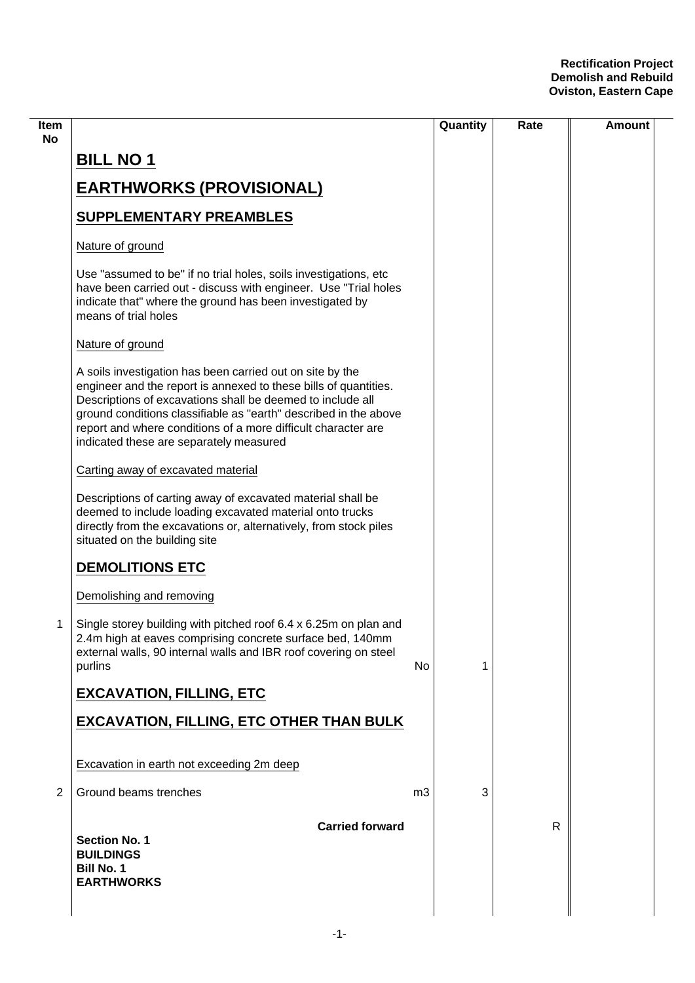| ltem<br>No |                                                                                                                                                                                                                                                                                                                                                                             |           | Quantity | Rate         | <b>Amount</b> |
|------------|-----------------------------------------------------------------------------------------------------------------------------------------------------------------------------------------------------------------------------------------------------------------------------------------------------------------------------------------------------------------------------|-----------|----------|--------------|---------------|
|            | <b>BILL NO 1</b>                                                                                                                                                                                                                                                                                                                                                            |           |          |              |               |
|            | <b>EARTHWORKS (PROVISIONAL)</b>                                                                                                                                                                                                                                                                                                                                             |           |          |              |               |
|            | <b>SUPPLEMENTARY PREAMBLES</b>                                                                                                                                                                                                                                                                                                                                              |           |          |              |               |
|            | Nature of ground                                                                                                                                                                                                                                                                                                                                                            |           |          |              |               |
|            | Use "assumed to be" if no trial holes, soils investigations, etc<br>have been carried out - discuss with engineer. Use "Trial holes<br>indicate that" where the ground has been investigated by<br>means of trial holes                                                                                                                                                     |           |          |              |               |
|            | Nature of ground                                                                                                                                                                                                                                                                                                                                                            |           |          |              |               |
|            | A soils investigation has been carried out on site by the<br>engineer and the report is annexed to these bills of quantities.<br>Descriptions of excavations shall be deemed to include all<br>ground conditions classifiable as "earth" described in the above<br>report and where conditions of a more difficult character are<br>indicated these are separately measured |           |          |              |               |
|            | Carting away of excavated material                                                                                                                                                                                                                                                                                                                                          |           |          |              |               |
|            | Descriptions of carting away of excavated material shall be<br>deemed to include loading excavated material onto trucks<br>directly from the excavations or, alternatively, from stock piles<br>situated on the building site                                                                                                                                               |           |          |              |               |
|            | <b>DEMOLITIONS ETC</b>                                                                                                                                                                                                                                                                                                                                                      |           |          |              |               |
|            | Demolishing and removing                                                                                                                                                                                                                                                                                                                                                    |           |          |              |               |
| 1          | Single storey building with pitched roof 6.4 x 6.25m on plan and<br>2.4m high at eaves comprising concrete surface bed, 140mm<br>external walls, 90 internal walls and IBR roof covering on steel<br>purlins                                                                                                                                                                | <b>No</b> | 1        |              |               |
|            | <b>EXCAVATION, FILLING, ETC</b>                                                                                                                                                                                                                                                                                                                                             |           |          |              |               |
|            | <b>EXCAVATION, FILLING, ETC OTHER THAN BULK</b>                                                                                                                                                                                                                                                                                                                             |           |          |              |               |
|            | Excavation in earth not exceeding 2m deep                                                                                                                                                                                                                                                                                                                                   |           |          |              |               |
| 2          | Ground beams trenches                                                                                                                                                                                                                                                                                                                                                       | m3        | 3        |              |               |
|            | <b>Carried forward</b><br><b>Section No. 1</b><br><b>BUILDINGS</b><br><b>Bill No. 1</b><br><b>EARTHWORKS</b>                                                                                                                                                                                                                                                                |           |          | $\mathsf{R}$ |               |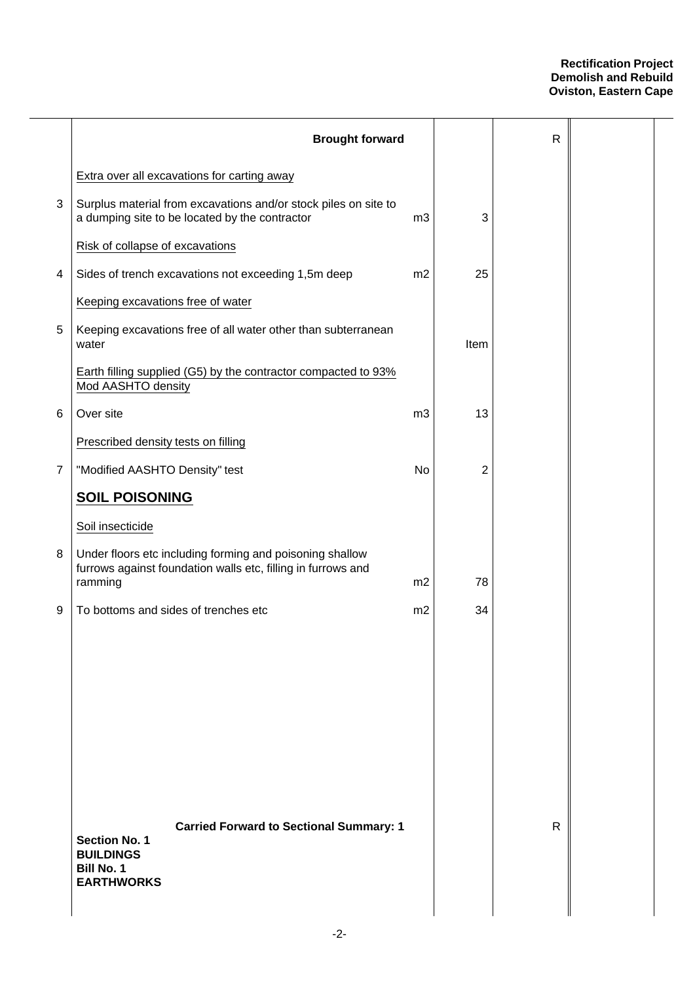|                | <b>Brought forward</b>                                                                                                               |                |      | $\mathsf{R}$ |  |
|----------------|--------------------------------------------------------------------------------------------------------------------------------------|----------------|------|--------------|--|
|                | Extra over all excavations for carting away                                                                                          |                |      |              |  |
| 3              | Surplus material from excavations and/or stock piles on site to<br>a dumping site to be located by the contractor                    | m3             | 3    |              |  |
|                | Risk of collapse of excavations                                                                                                      |                |      |              |  |
| 4              | Sides of trench excavations not exceeding 1,5m deep                                                                                  | m2             | 25   |              |  |
|                | Keeping excavations free of water                                                                                                    |                |      |              |  |
| 5              | Keeping excavations free of all water other than subterranean<br>water                                                               |                | Item |              |  |
|                | Earth filling supplied (G5) by the contractor compacted to 93%<br>Mod AASHTO density                                                 |                |      |              |  |
| 6              | Over site                                                                                                                            | m <sub>3</sub> | 13   |              |  |
|                | Prescribed density tests on filling                                                                                                  |                |      |              |  |
| $\overline{7}$ | "Modified AASHTO Density" test                                                                                                       | No             | 2    |              |  |
|                | <b>SOIL POISONING</b>                                                                                                                |                |      |              |  |
|                | Soil insecticide                                                                                                                     |                |      |              |  |
| 8              | Under floors etc including forming and poisoning shallow<br>furrows against foundation walls etc, filling in furrows and<br>ramming  | m <sub>2</sub> | 78   |              |  |
| 9              | To bottoms and sides of trenches etc                                                                                                 | m2             | 34   |              |  |
|                |                                                                                                                                      |                |      |              |  |
|                | <b>Carried Forward to Sectional Summary: 1</b><br><b>Section No. 1</b><br><b>BUILDINGS</b><br><b>Bill No. 1</b><br><b>EARTHWORKS</b> |                |      | $\mathsf{R}$ |  |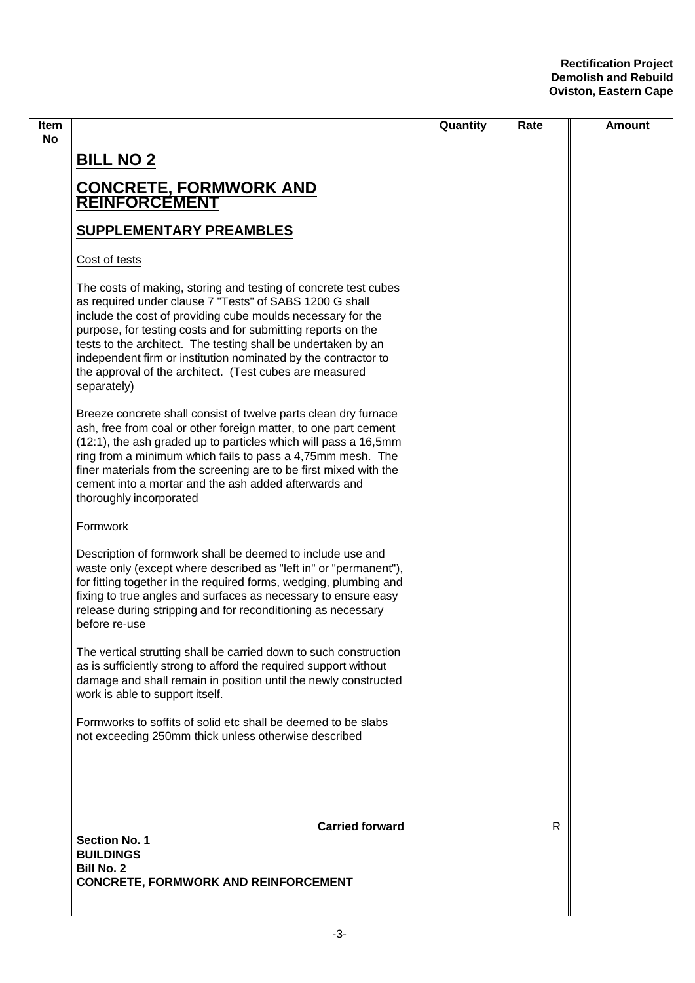|                                                                                                                                                                                                                                                                                                                                                                                                                                                                        | Quantity | Rate | Amount |
|------------------------------------------------------------------------------------------------------------------------------------------------------------------------------------------------------------------------------------------------------------------------------------------------------------------------------------------------------------------------------------------------------------------------------------------------------------------------|----------|------|--------|
| <b>BILL NO 2</b>                                                                                                                                                                                                                                                                                                                                                                                                                                                       |          |      |        |
| <b>CONCRETE, FORMWORK AND<br/>REINFORCEMENT</b>                                                                                                                                                                                                                                                                                                                                                                                                                        |          |      |        |
| <b>SUPPLEMENTARY PREAMBLES</b>                                                                                                                                                                                                                                                                                                                                                                                                                                         |          |      |        |
| Cost of tests                                                                                                                                                                                                                                                                                                                                                                                                                                                          |          |      |        |
| The costs of making, storing and testing of concrete test cubes<br>as required under clause 7 "Tests" of SABS 1200 G shall<br>include the cost of providing cube moulds necessary for the<br>purpose, for testing costs and for submitting reports on the<br>tests to the architect. The testing shall be undertaken by an<br>independent firm or institution nominated by the contractor to<br>the approval of the architect. (Test cubes are measured<br>separately) |          |      |        |
| Breeze concrete shall consist of twelve parts clean dry furnace<br>ash, free from coal or other foreign matter, to one part cement<br>(12:1), the ash graded up to particles which will pass a 16,5mm<br>ring from a minimum which fails to pass a 4,75mm mesh. The<br>finer materials from the screening are to be first mixed with the<br>cement into a mortar and the ash added afterwards and<br>thoroughly incorporated                                           |          |      |        |
| Formwork                                                                                                                                                                                                                                                                                                                                                                                                                                                               |          |      |        |
| Description of formwork shall be deemed to include use and<br>waste only (except where described as "left in" or "permanent"),<br>for fitting together in the required forms, wedging, plumbing and<br>fixing to true angles and surfaces as necessary to ensure easy<br>release during stripping and for reconditioning as necessary<br>before re-use                                                                                                                 |          |      |        |
| The vertical strutting shall be carried down to such construction<br>as is sufficiently strong to afford the required support without<br>damage and shall remain in position until the newly constructed<br>work is able to support itself.                                                                                                                                                                                                                            |          |      |        |
| Formworks to soffits of solid etc shall be deemed to be slabs<br>not exceeding 250mm thick unless otherwise described                                                                                                                                                                                                                                                                                                                                                  |          |      |        |
| <b>Carried forward</b><br><b>Section No. 1</b><br><b>BUILDINGS</b>                                                                                                                                                                                                                                                                                                                                                                                                     |          | R    |        |
| <b>Bill No. 2</b><br><b>CONCRETE, FORMWORK AND REINFORCEMENT</b>                                                                                                                                                                                                                                                                                                                                                                                                       |          |      |        |
|                                                                                                                                                                                                                                                                                                                                                                                                                                                                        |          |      |        |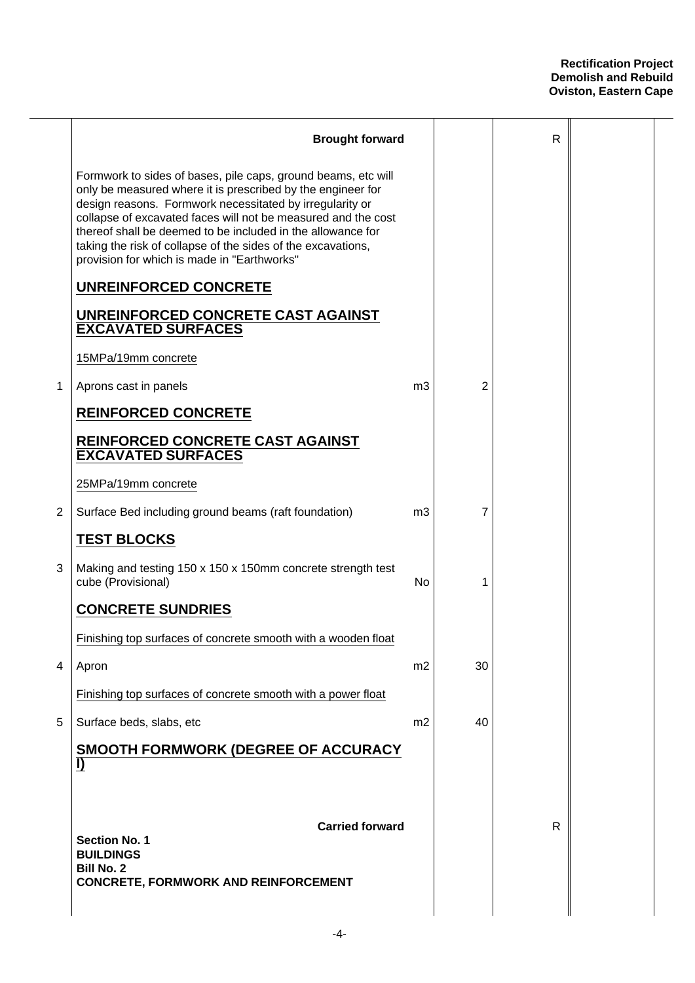|   | <b>Brought forward</b>                                                                                                                                                                                                                                                                                                                                                                                                                  |                |    | $\mathsf{R}$ |  |
|---|-----------------------------------------------------------------------------------------------------------------------------------------------------------------------------------------------------------------------------------------------------------------------------------------------------------------------------------------------------------------------------------------------------------------------------------------|----------------|----|--------------|--|
|   | Formwork to sides of bases, pile caps, ground beams, etc will<br>only be measured where it is prescribed by the engineer for<br>design reasons. Formwork necessitated by irregularity or<br>collapse of excavated faces will not be measured and the cost<br>thereof shall be deemed to be included in the allowance for<br>taking the risk of collapse of the sides of the excavations,<br>provision for which is made in "Earthworks" |                |    |              |  |
|   | <b>UNREINFORCED CONCRETE</b>                                                                                                                                                                                                                                                                                                                                                                                                            |                |    |              |  |
|   | UNREINFORCED CONCRETE CAST AGAINST<br><b>EXCAVATED SURFACES</b>                                                                                                                                                                                                                                                                                                                                                                         |                |    |              |  |
|   | 15MPa/19mm concrete                                                                                                                                                                                                                                                                                                                                                                                                                     |                |    |              |  |
| 1 | Aprons cast in panels                                                                                                                                                                                                                                                                                                                                                                                                                   | m <sub>3</sub> | 2  |              |  |
|   | <b>REINFORCED CONCRETE</b>                                                                                                                                                                                                                                                                                                                                                                                                              |                |    |              |  |
|   | REINFORCED CONCRETE CAST AGAINST<br><b>EXCAVATED SURFACES</b>                                                                                                                                                                                                                                                                                                                                                                           |                |    |              |  |
|   | 25MPa/19mm concrete                                                                                                                                                                                                                                                                                                                                                                                                                     |                |    |              |  |
| 2 | Surface Bed including ground beams (raft foundation)                                                                                                                                                                                                                                                                                                                                                                                    | m <sub>3</sub> | 7  |              |  |
|   | <b>TEST BLOCKS</b>                                                                                                                                                                                                                                                                                                                                                                                                                      |                |    |              |  |
| 3 | Making and testing 150 x 150 x 150mm concrete strength test<br>cube (Provisional)                                                                                                                                                                                                                                                                                                                                                       | No             | 1  |              |  |
|   | <b>CONCRETE SUNDRIES</b>                                                                                                                                                                                                                                                                                                                                                                                                                |                |    |              |  |
|   | Finishing top surfaces of concrete smooth with a wooden float                                                                                                                                                                                                                                                                                                                                                                           |                |    |              |  |
| 4 | Apron                                                                                                                                                                                                                                                                                                                                                                                                                                   | m2             | 30 |              |  |
|   | Finishing top surfaces of concrete smooth with a power float                                                                                                                                                                                                                                                                                                                                                                            |                |    |              |  |
| 5 | Surface beds, slabs, etc                                                                                                                                                                                                                                                                                                                                                                                                                | m2             | 40 |              |  |
|   | <b>SMOOTH FORMWORK (DEGREE OF ACCURACY</b><br>$\bf{D}$                                                                                                                                                                                                                                                                                                                                                                                  |                |    |              |  |
|   | <b>Carried forward</b><br><b>Section No. 1</b><br><b>BUILDINGS</b><br><b>Bill No. 2</b><br><b>CONCRETE, FORMWORK AND REINFORCEMENT</b>                                                                                                                                                                                                                                                                                                  |                |    | $\mathsf{R}$ |  |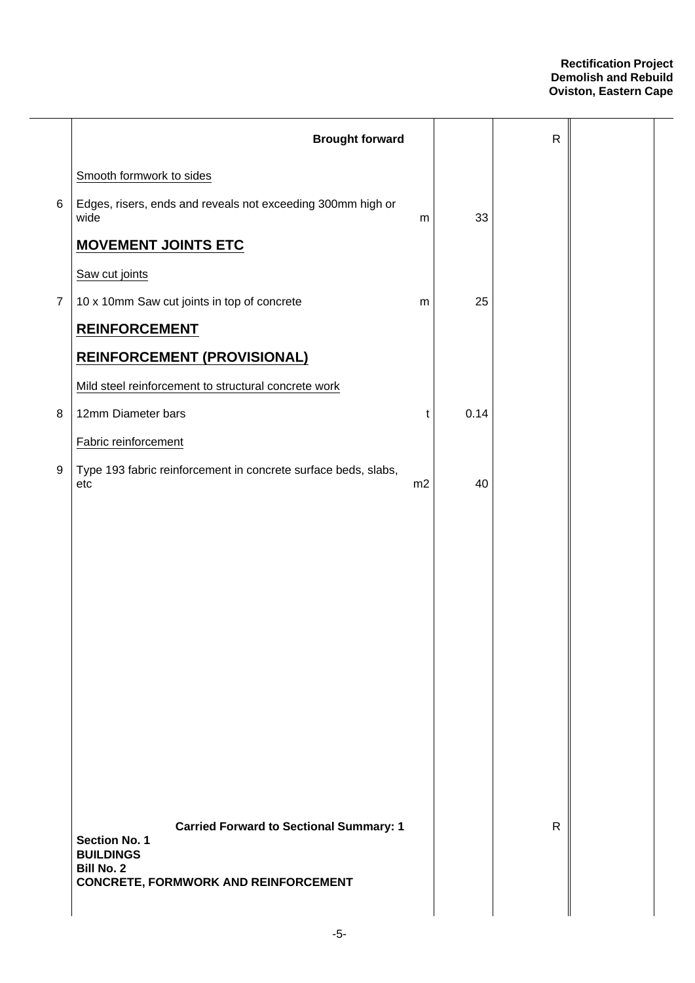|                | <b>Brought forward</b>                                                 |    |      | ${\sf R}$    |  |
|----------------|------------------------------------------------------------------------|----|------|--------------|--|
|                | Smooth formwork to sides                                               |    |      |              |  |
| $\,6$          | Edges, risers, ends and reveals not exceeding 300mm high or<br>wide    | m  | 33   |              |  |
|                | <b>MOVEMENT JOINTS ETC</b>                                             |    |      |              |  |
|                | Saw cut joints                                                         |    |      |              |  |
| $\overline{7}$ | 10 x 10mm Saw cut joints in top of concrete                            | m  | 25   |              |  |
|                | <b>REINFORCEMENT</b>                                                   |    |      |              |  |
|                | <b>REINFORCEMENT (PROVISIONAL)</b>                                     |    |      |              |  |
|                | Mild steel reinforcement to structural concrete work                   |    |      |              |  |
| 8              | 12mm Diameter bars                                                     | t  | 0.14 |              |  |
|                | Fabric reinforcement                                                   |    |      |              |  |
| 9              | Type 193 fabric reinforcement in concrete surface beds, slabs,<br>etc  | m2 | 40   |              |  |
|                |                                                                        |    |      |              |  |
|                |                                                                        |    |      |              |  |
|                |                                                                        |    |      |              |  |
|                |                                                                        |    |      |              |  |
|                |                                                                        |    |      |              |  |
|                |                                                                        |    |      |              |  |
|                |                                                                        |    |      |              |  |
|                |                                                                        |    |      |              |  |
|                |                                                                        |    |      |              |  |
|                |                                                                        |    |      |              |  |
|                |                                                                        |    |      |              |  |
|                | <b>Carried Forward to Sectional Summary: 1</b><br><b>Section No. 1</b> |    |      | $\mathsf{R}$ |  |
|                | <b>BUILDINGS</b><br><b>Bill No. 2</b>                                  |    |      |              |  |
|                | <b>CONCRETE, FORMWORK AND REINFORCEMENT</b>                            |    |      |              |  |
|                |                                                                        |    |      |              |  |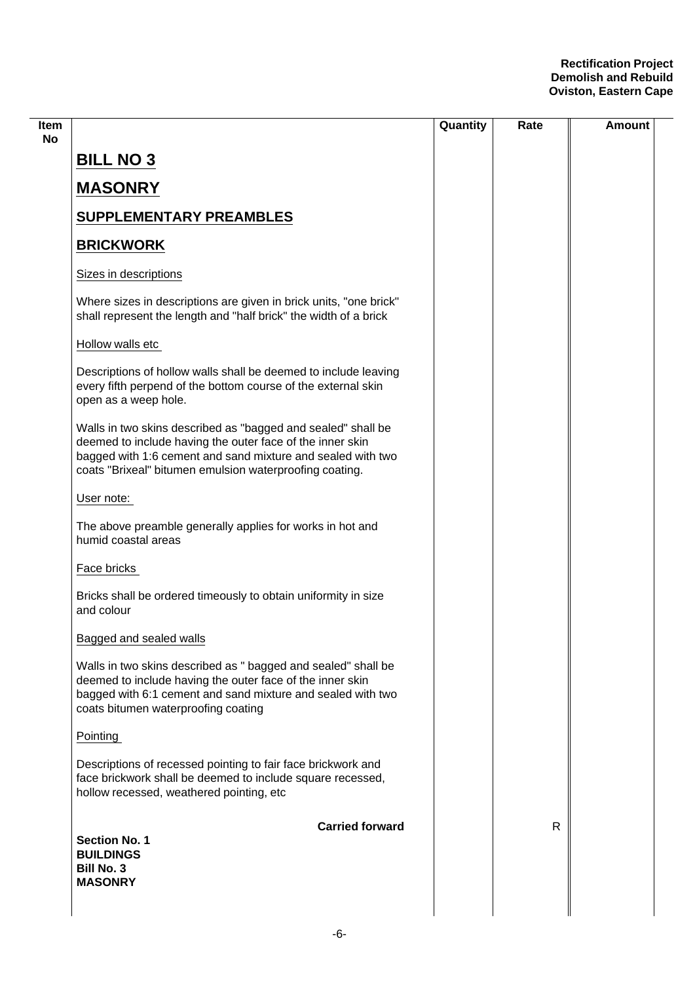|                                                                                                                                                                                                                                                     |                        | Quantity | Rate         | <b>Amount</b> |
|-----------------------------------------------------------------------------------------------------------------------------------------------------------------------------------------------------------------------------------------------------|------------------------|----------|--------------|---------------|
| <b>BILL NO 3</b>                                                                                                                                                                                                                                    |                        |          |              |               |
| <b>MASONRY</b>                                                                                                                                                                                                                                      |                        |          |              |               |
| <b>SUPPLEMENTARY PREAMBLES</b>                                                                                                                                                                                                                      |                        |          |              |               |
| <b>BRICKWORK</b>                                                                                                                                                                                                                                    |                        |          |              |               |
| Sizes in descriptions                                                                                                                                                                                                                               |                        |          |              |               |
| Where sizes in descriptions are given in brick units, "one brick"<br>shall represent the length and "half brick" the width of a brick                                                                                                               |                        |          |              |               |
| Hollow walls etc                                                                                                                                                                                                                                    |                        |          |              |               |
| Descriptions of hollow walls shall be deemed to include leaving<br>every fifth perpend of the bottom course of the external skin<br>open as a weep hole.                                                                                            |                        |          |              |               |
| Walls in two skins described as "bagged and sealed" shall be<br>deemed to include having the outer face of the inner skin<br>bagged with 1:6 cement and sand mixture and sealed with two<br>coats "Brixeal" bitumen emulsion waterproofing coating. |                        |          |              |               |
| User note:                                                                                                                                                                                                                                          |                        |          |              |               |
| The above preamble generally applies for works in hot and<br>humid coastal areas                                                                                                                                                                    |                        |          |              |               |
| Face bricks                                                                                                                                                                                                                                         |                        |          |              |               |
| Bricks shall be ordered timeously to obtain uniformity in size<br>and colour                                                                                                                                                                        |                        |          |              |               |
| Bagged and sealed walls                                                                                                                                                                                                                             |                        |          |              |               |
| Walls in two skins described as " bagged and sealed" shall be<br>deemed to include having the outer face of the inner skin<br>bagged with 6:1 cement and sand mixture and sealed with two<br>coats bitumen waterproofing coating                    |                        |          |              |               |
| Pointing                                                                                                                                                                                                                                            |                        |          |              |               |
| Descriptions of recessed pointing to fair face brickwork and<br>face brickwork shall be deemed to include square recessed,<br>hollow recessed, weathered pointing, etc                                                                              |                        |          |              |               |
| <b>Section No. 1</b><br><b>BUILDINGS</b><br><b>Bill No. 3</b><br><b>MASONRY</b>                                                                                                                                                                     | <b>Carried forward</b> |          | $\mathsf{R}$ |               |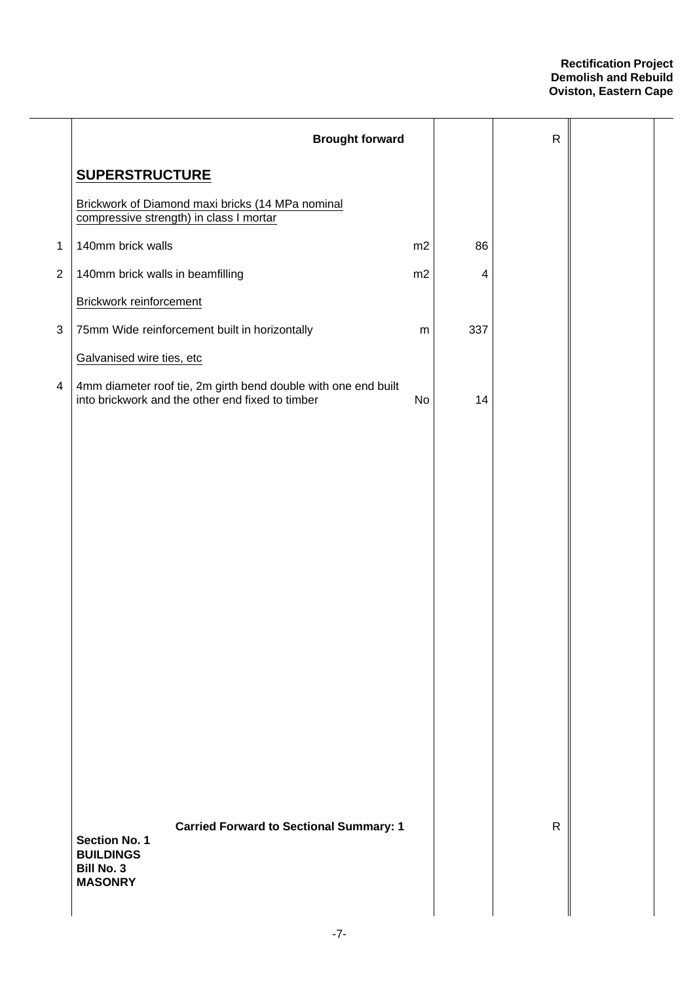|                | <b>Brought forward</b>                                                                                             |    |     | $\mathsf{R}$ |  |
|----------------|--------------------------------------------------------------------------------------------------------------------|----|-----|--------------|--|
|                | <b>SUPERSTRUCTURE</b>                                                                                              |    |     |              |  |
|                | Brickwork of Diamond maxi bricks (14 MPa nominal<br>compressive strength) in class I mortar                        |    |     |              |  |
| $\mathbf{1}$   | 140mm brick walls                                                                                                  | m2 | 86  |              |  |
| $\overline{2}$ | 140mm brick walls in beamfilling                                                                                   | m2 | 4   |              |  |
|                | Brickwork reinforcement                                                                                            |    |     |              |  |
| $\sqrt{3}$     | 75mm Wide reinforcement built in horizontally                                                                      | m  | 337 |              |  |
|                | Galvanised wire ties, etc                                                                                          |    |     |              |  |
| 4              | 4mm diameter roof tie, 2m girth bend double with one end built<br>into brickwork and the other end fixed to timber | No | 14  |              |  |
|                |                                                                                                                    |    |     |              |  |
|                |                                                                                                                    |    |     |              |  |
|                |                                                                                                                    |    |     |              |  |
|                |                                                                                                                    |    |     |              |  |
|                |                                                                                                                    |    |     |              |  |
|                |                                                                                                                    |    |     |              |  |
|                |                                                                                                                    |    |     |              |  |
|                |                                                                                                                    |    |     |              |  |
|                |                                                                                                                    |    |     |              |  |
|                |                                                                                                                    |    |     |              |  |
|                |                                                                                                                    |    |     |              |  |
|                |                                                                                                                    |    |     |              |  |
|                |                                                                                                                    |    |     |              |  |
|                | <b>Carried Forward to Sectional Summary: 1</b><br><b>Section No. 1</b><br><b>BUILDINGS</b>                         |    |     | $\mathsf{R}$ |  |
|                | <b>Bill No. 3</b><br><b>MASONRY</b>                                                                                |    |     |              |  |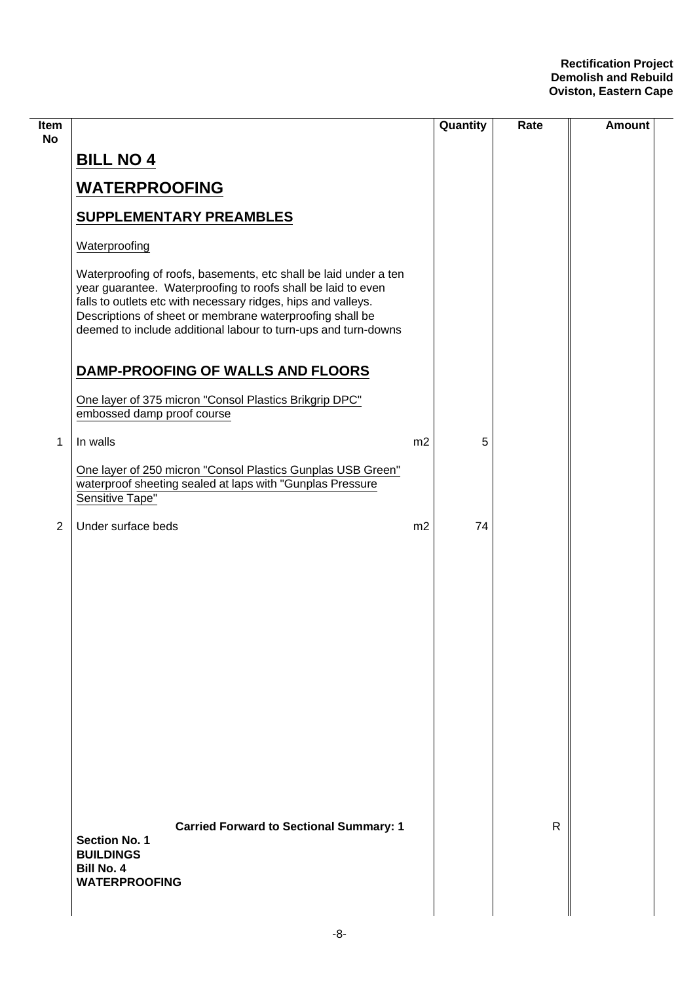| <b>Item</b><br><b>No</b> |                                                                                                                                                                                                                                                                                                                                 |                | Quantity | Rate | <b>Amount</b> |
|--------------------------|---------------------------------------------------------------------------------------------------------------------------------------------------------------------------------------------------------------------------------------------------------------------------------------------------------------------------------|----------------|----------|------|---------------|
|                          | <b>BILL NO 4</b>                                                                                                                                                                                                                                                                                                                |                |          |      |               |
|                          | <b>WATERPROOFING</b>                                                                                                                                                                                                                                                                                                            |                |          |      |               |
|                          | <b>SUPPLEMENTARY PREAMBLES</b>                                                                                                                                                                                                                                                                                                  |                |          |      |               |
|                          | Waterproofing                                                                                                                                                                                                                                                                                                                   |                |          |      |               |
|                          | Waterproofing of roofs, basements, etc shall be laid under a ten<br>year guarantee. Waterproofing to roofs shall be laid to even<br>falls to outlets etc with necessary ridges, hips and valleys.<br>Descriptions of sheet or membrane waterproofing shall be<br>deemed to include additional labour to turn-ups and turn-downs |                |          |      |               |
|                          | DAMP-PROOFING OF WALLS AND FLOORS                                                                                                                                                                                                                                                                                               |                |          |      |               |
|                          | One layer of 375 micron "Consol Plastics Brikgrip DPC"<br>embossed damp proof course                                                                                                                                                                                                                                            |                |          |      |               |
| 1                        | In walls                                                                                                                                                                                                                                                                                                                        | m <sub>2</sub> | 5        |      |               |
|                          | One layer of 250 micron "Consol Plastics Gunplas USB Green"<br>waterproof sheeting sealed at laps with "Gunplas Pressure<br>Sensitive Tape"                                                                                                                                                                                     |                |          |      |               |
| $\overline{2}$           | Under surface beds                                                                                                                                                                                                                                                                                                              | m2             | 74       |      |               |
|                          |                                                                                                                                                                                                                                                                                                                                 |                |          |      |               |
|                          | <b>Carried Forward to Sectional Summary: 1</b><br><b>Section No. 1</b><br><b>BUILDINGS</b><br><b>Bill No. 4</b><br><b>WATERPROOFING</b>                                                                                                                                                                                         |                |          | R    |               |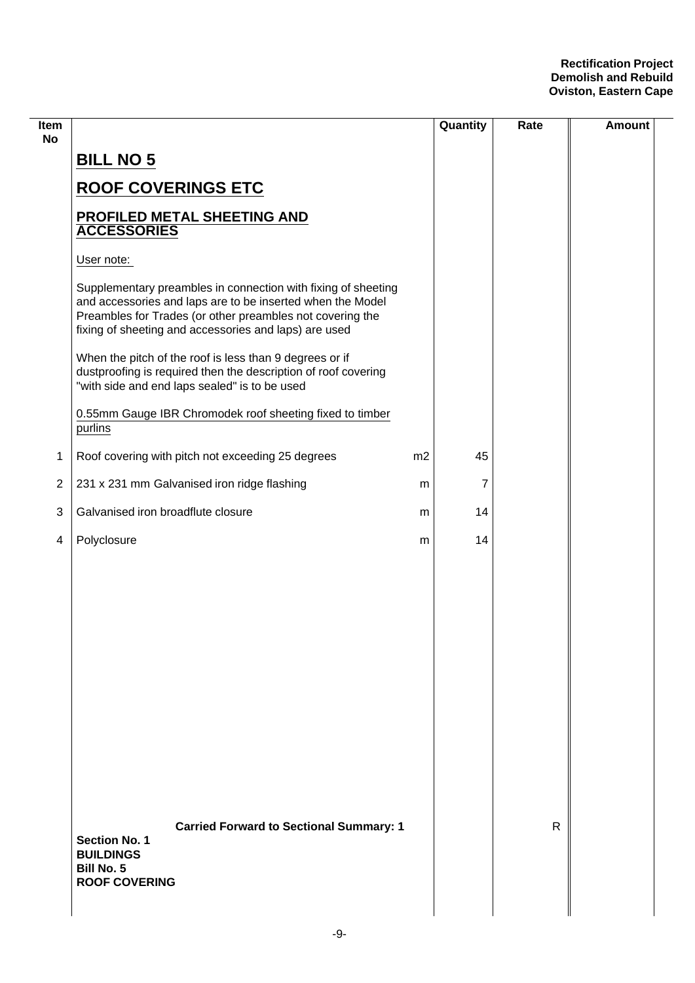| Item<br><b>No</b>       |                                                                                                                                                                                                                                                   |    | Quantity | Rate         | <b>Amount</b> |
|-------------------------|---------------------------------------------------------------------------------------------------------------------------------------------------------------------------------------------------------------------------------------------------|----|----------|--------------|---------------|
|                         | <b>BILL NO 5</b>                                                                                                                                                                                                                                  |    |          |              |               |
|                         | <b>ROOF COVERINGS ETC</b>                                                                                                                                                                                                                         |    |          |              |               |
|                         | PROFILED METAL SHEETING AND<br><b>ACCESSORIES</b>                                                                                                                                                                                                 |    |          |              |               |
|                         | User note:                                                                                                                                                                                                                                        |    |          |              |               |
|                         | Supplementary preambles in connection with fixing of sheeting<br>and accessories and laps are to be inserted when the Model<br>Preambles for Trades (or other preambles not covering the<br>fixing of sheeting and accessories and laps) are used |    |          |              |               |
|                         | When the pitch of the roof is less than 9 degrees or if<br>dustproofing is required then the description of roof covering<br>"with side and end laps sealed" is to be used                                                                        |    |          |              |               |
|                         | 0.55mm Gauge IBR Chromodek roof sheeting fixed to timber<br>purlins                                                                                                                                                                               |    |          |              |               |
| 1                       | Roof covering with pitch not exceeding 25 degrees                                                                                                                                                                                                 | m2 | 45       |              |               |
| $\overline{2}$          | 231 x 231 mm Galvanised iron ridge flashing                                                                                                                                                                                                       | m  | 7        |              |               |
| 3                       | Galvanised iron broadflute closure                                                                                                                                                                                                                | m  | 14       |              |               |
| $\overline{\mathbf{4}}$ | Polyclosure                                                                                                                                                                                                                                       | m  | 14       |              |               |
|                         |                                                                                                                                                                                                                                                   |    |          |              |               |
|                         |                                                                                                                                                                                                                                                   |    |          |              |               |
|                         |                                                                                                                                                                                                                                                   |    |          |              |               |
|                         |                                                                                                                                                                                                                                                   |    |          |              |               |
|                         |                                                                                                                                                                                                                                                   |    |          |              |               |
|                         |                                                                                                                                                                                                                                                   |    |          |              |               |
|                         |                                                                                                                                                                                                                                                   |    |          |              |               |
|                         |                                                                                                                                                                                                                                                   |    |          |              |               |
|                         |                                                                                                                                                                                                                                                   |    |          |              |               |
|                         | <b>Carried Forward to Sectional Summary: 1</b><br><b>Section No. 1</b><br><b>BUILDINGS</b><br><b>Bill No. 5</b><br><b>ROOF COVERING</b>                                                                                                           |    |          | $\mathsf{R}$ |               |
|                         |                                                                                                                                                                                                                                                   |    |          |              |               |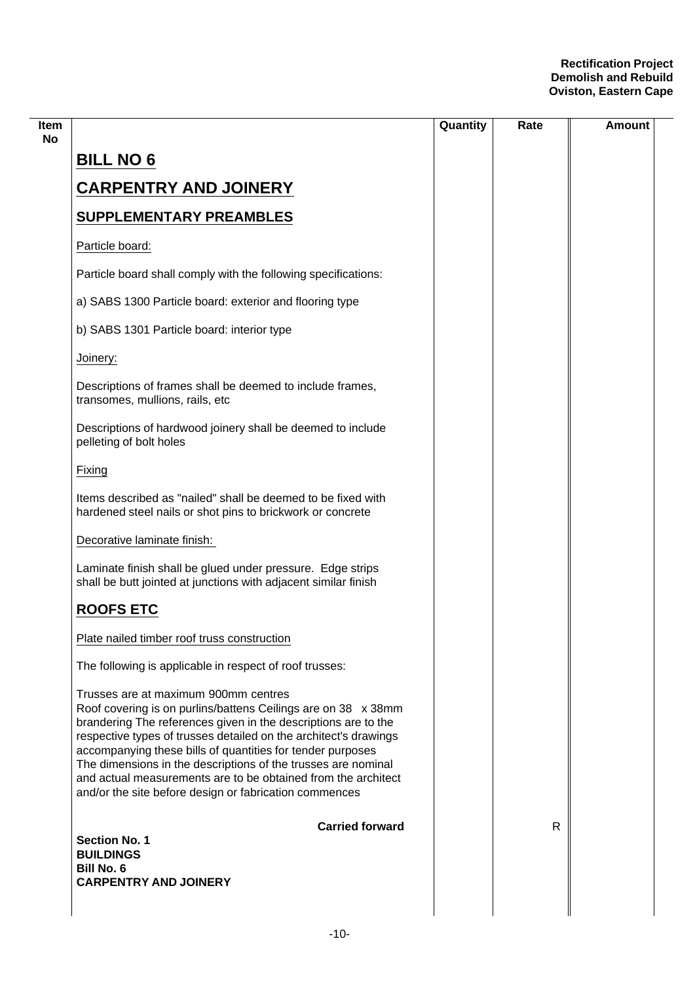|                                                                                                                                                                                                                                                                                                                                                                                                                                                                                                       | Quantity | Rate | Amount |
|-------------------------------------------------------------------------------------------------------------------------------------------------------------------------------------------------------------------------------------------------------------------------------------------------------------------------------------------------------------------------------------------------------------------------------------------------------------------------------------------------------|----------|------|--------|
| <b>BILL NO 6</b>                                                                                                                                                                                                                                                                                                                                                                                                                                                                                      |          |      |        |
| <b>CARPENTRY AND JOINERY</b>                                                                                                                                                                                                                                                                                                                                                                                                                                                                          |          |      |        |
| <b>SUPPLEMENTARY PREAMBLES</b>                                                                                                                                                                                                                                                                                                                                                                                                                                                                        |          |      |        |
| Particle board:                                                                                                                                                                                                                                                                                                                                                                                                                                                                                       |          |      |        |
| Particle board shall comply with the following specifications:                                                                                                                                                                                                                                                                                                                                                                                                                                        |          |      |        |
| a) SABS 1300 Particle board: exterior and flooring type                                                                                                                                                                                                                                                                                                                                                                                                                                               |          |      |        |
| b) SABS 1301 Particle board: interior type                                                                                                                                                                                                                                                                                                                                                                                                                                                            |          |      |        |
| Joinery:                                                                                                                                                                                                                                                                                                                                                                                                                                                                                              |          |      |        |
| Descriptions of frames shall be deemed to include frames,<br>transomes, mullions, rails, etc                                                                                                                                                                                                                                                                                                                                                                                                          |          |      |        |
| Descriptions of hardwood joinery shall be deemed to include<br>pelleting of bolt holes                                                                                                                                                                                                                                                                                                                                                                                                                |          |      |        |
| Fixing                                                                                                                                                                                                                                                                                                                                                                                                                                                                                                |          |      |        |
| Items described as "nailed" shall be deemed to be fixed with<br>hardened steel nails or shot pins to brickwork or concrete                                                                                                                                                                                                                                                                                                                                                                            |          |      |        |
| Decorative laminate finish:                                                                                                                                                                                                                                                                                                                                                                                                                                                                           |          |      |        |
| Laminate finish shall be glued under pressure. Edge strips<br>shall be butt jointed at junctions with adjacent similar finish                                                                                                                                                                                                                                                                                                                                                                         |          |      |        |
| <b>ROOFS ETC</b>                                                                                                                                                                                                                                                                                                                                                                                                                                                                                      |          |      |        |
| Plate nailed timber roof truss construction                                                                                                                                                                                                                                                                                                                                                                                                                                                           |          |      |        |
| The following is applicable in respect of roof trusses:                                                                                                                                                                                                                                                                                                                                                                                                                                               |          |      |        |
| Trusses are at maximum 900mm centres<br>Roof covering is on purlins/battens Ceilings are on 38 x 38mm<br>brandering The references given in the descriptions are to the<br>respective types of trusses detailed on the architect's drawings<br>accompanying these bills of quantities for tender purposes<br>The dimensions in the descriptions of the trusses are nominal<br>and actual measurements are to be obtained from the architect<br>and/or the site before design or fabrication commences |          |      |        |
| <b>Carried forward</b>                                                                                                                                                                                                                                                                                                                                                                                                                                                                                |          | R    |        |
| <b>Section No. 1</b><br><b>BUILDINGS</b>                                                                                                                                                                                                                                                                                                                                                                                                                                                              |          |      |        |
| <b>Bill No. 6</b><br><b>CARPENTRY AND JOINERY</b>                                                                                                                                                                                                                                                                                                                                                                                                                                                     |          |      |        |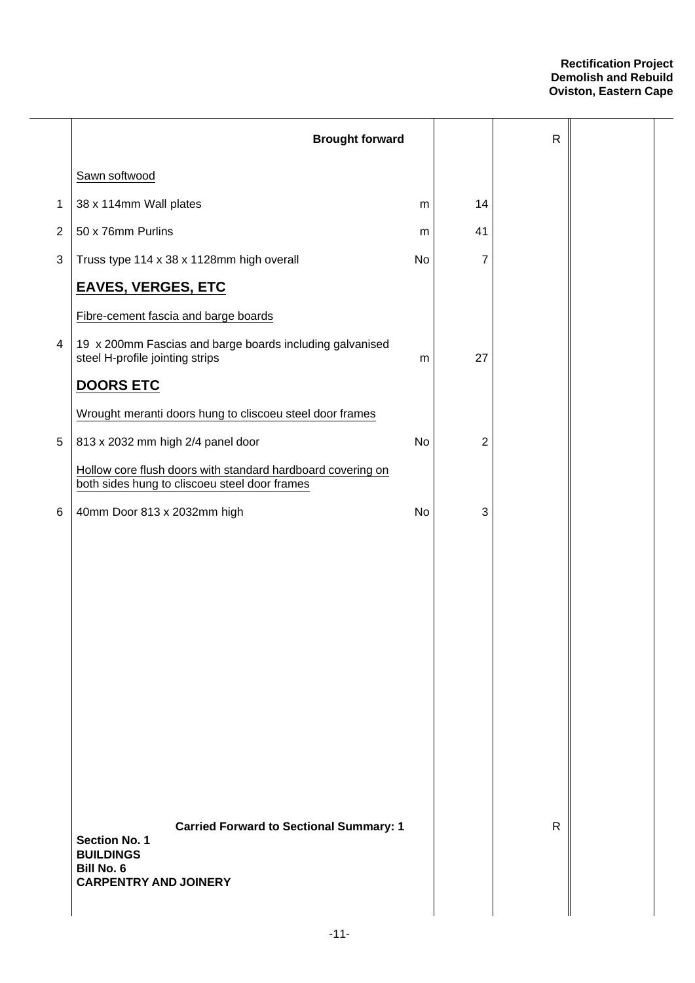|                | <b>Brought forward</b>                                                                                                                   |    |                | ${\sf R}$ |  |
|----------------|------------------------------------------------------------------------------------------------------------------------------------------|----|----------------|-----------|--|
|                | Sawn softwood                                                                                                                            |    |                |           |  |
| 1              | 38 x 114mm Wall plates                                                                                                                   | m  | 14             |           |  |
| $\overline{2}$ | 50 x 76mm Purlins                                                                                                                        | m  | 41             |           |  |
| 3              | Truss type 114 x 38 x 1128mm high overall                                                                                                | No | 7              |           |  |
|                | <b>EAVES, VERGES, ETC</b>                                                                                                                |    |                |           |  |
|                | Fibre-cement fascia and barge boards                                                                                                     |    |                |           |  |
| 4              | 19 x 200mm Fascias and barge boards including galvanised<br>steel H-profile jointing strips                                              | m  | 27             |           |  |
|                | <b>DOORS ETC</b>                                                                                                                         |    |                |           |  |
|                | Wrought meranti doors hung to cliscoeu steel door frames                                                                                 |    |                |           |  |
| $\,$ 5 $\,$    | 813 x 2032 mm high 2/4 panel door                                                                                                        | No | $\overline{2}$ |           |  |
|                | Hollow core flush doors with standard hardboard covering on<br>both sides hung to cliscoeu steel door frames                             |    |                |           |  |
| 6              | 40mm Door 813 x 2032mm high                                                                                                              | No | 3              |           |  |
|                |                                                                                                                                          |    |                |           |  |
|                |                                                                                                                                          |    |                |           |  |
|                |                                                                                                                                          |    |                |           |  |
|                |                                                                                                                                          |    |                |           |  |
|                |                                                                                                                                          |    |                |           |  |
|                |                                                                                                                                          |    |                |           |  |
|                |                                                                                                                                          |    |                |           |  |
|                |                                                                                                                                          |    |                |           |  |
|                |                                                                                                                                          |    |                |           |  |
|                |                                                                                                                                          |    |                |           |  |
|                | <b>Carried Forward to Sectional Summary: 1</b><br><b>Section No. 1</b><br><b>BUILDINGS</b><br>Bill No. 6<br><b>CARPENTRY AND JOINERY</b> |    |                | R         |  |
|                |                                                                                                                                          |    |                |           |  |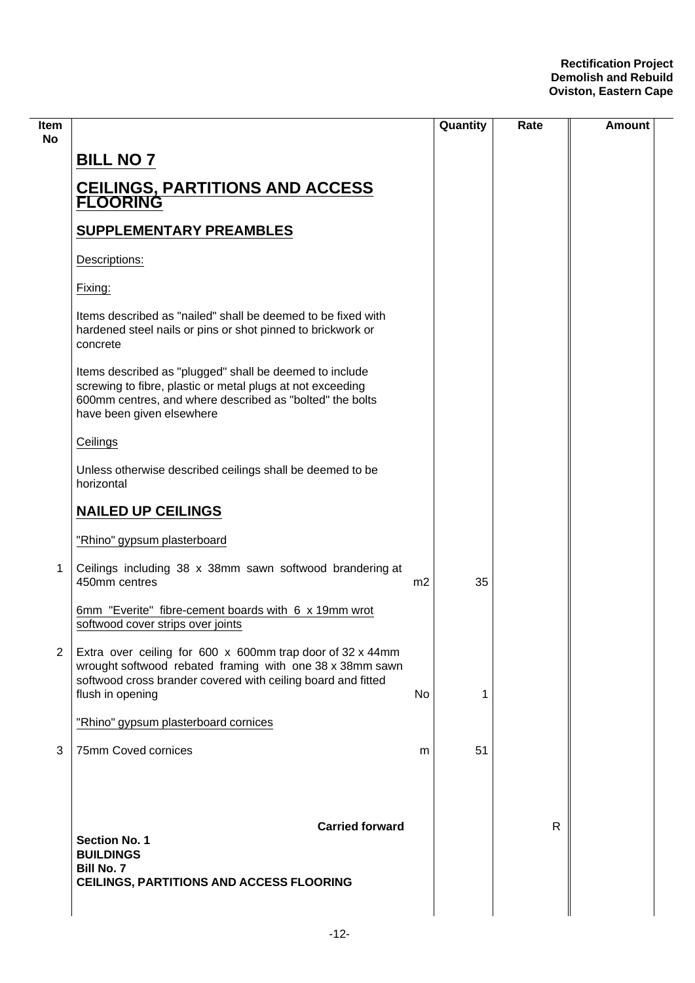| ltem<br>No     |                                                                                                                                                                                                                |                | Quantity | Rate | Amount |
|----------------|----------------------------------------------------------------------------------------------------------------------------------------------------------------------------------------------------------------|----------------|----------|------|--------|
|                | <b>BILL NO 7</b>                                                                                                                                                                                               |                |          |      |        |
|                | <b>CEILINGS, PARTITIONS AND ACCESS<br/>FLOORING</b>                                                                                                                                                            |                |          |      |        |
|                | <b>SUPPLEMENTARY PREAMBLES</b>                                                                                                                                                                                 |                |          |      |        |
|                | Descriptions:                                                                                                                                                                                                  |                |          |      |        |
|                | Fixing:                                                                                                                                                                                                        |                |          |      |        |
|                | Items described as "nailed" shall be deemed to be fixed with<br>hardened steel nails or pins or shot pinned to brickwork or<br>concrete                                                                        |                |          |      |        |
|                | Items described as "plugged" shall be deemed to include<br>screwing to fibre, plastic or metal plugs at not exceeding<br>600mm centres, and where described as "bolted" the bolts<br>have been given elsewhere |                |          |      |        |
|                | Ceilings                                                                                                                                                                                                       |                |          |      |        |
|                | Unless otherwise described ceilings shall be deemed to be<br>horizontal                                                                                                                                        |                |          |      |        |
|                | <b>NAILED UP CEILINGS</b>                                                                                                                                                                                      |                |          |      |        |
|                | "Rhino" gypsum plasterboard                                                                                                                                                                                    |                |          |      |        |
| 1              | Ceilings including 38 x 38mm sawn softwood brandering at<br>450mm centres                                                                                                                                      | m <sub>2</sub> | 35       |      |        |
|                | 6mm "Everite" fibre-cement boards with 6 x 19mm wrot<br>softwood cover strips over joints                                                                                                                      |                |          |      |        |
| $\overline{2}$ | Extra over ceiling for 600 x 600mm trap door of 32 x 44mm<br>wrought softwood rebated framing with one 38 x 38mm sawn<br>softwood cross brander covered with ceiling board and fitted<br>flush in opening      | No.            | 1        |      |        |
|                | "Rhino" gypsum plasterboard cornices                                                                                                                                                                           |                |          |      |        |
| 3              | 75mm Coved cornices                                                                                                                                                                                            | m              | 51       |      |        |
|                |                                                                                                                                                                                                                |                |          |      |        |
|                | <b>Carried forward</b><br><b>Section No. 1</b><br><b>BUILDINGS</b><br><b>Bill No. 7</b><br>CEILINGS, PARTITIONS AND ACCESS FLOORING                                                                            |                |          | R    |        |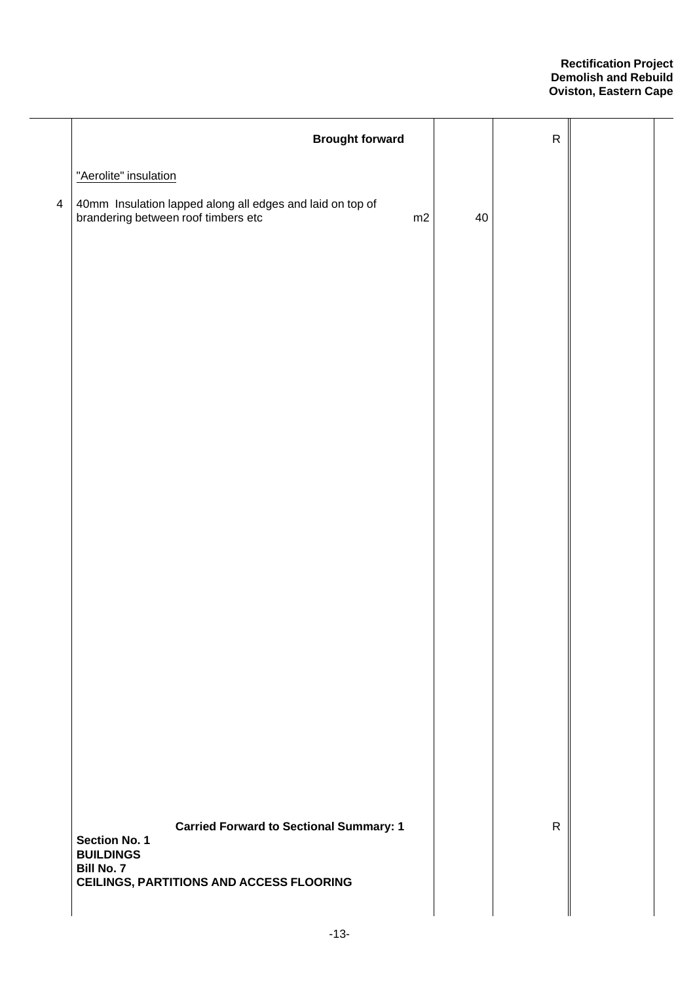|                | <b>Brought forward</b>                                                                                 |    | ${\sf R}$    |  |
|----------------|--------------------------------------------------------------------------------------------------------|----|--------------|--|
|                | "Aerolite" insulation                                                                                  |    |              |  |
| $\overline{4}$ | 40mm Insulation lapped along all edges and laid on top of<br>brandering between roof timbers etc<br>m2 | 40 |              |  |
|                |                                                                                                        |    |              |  |
|                |                                                                                                        |    |              |  |
|                |                                                                                                        |    |              |  |
|                |                                                                                                        |    |              |  |
|                |                                                                                                        |    |              |  |
|                |                                                                                                        |    |              |  |
|                |                                                                                                        |    |              |  |
|                |                                                                                                        |    |              |  |
|                |                                                                                                        |    |              |  |
|                |                                                                                                        |    |              |  |
|                |                                                                                                        |    |              |  |
|                | <b>Carried Forward to Sectional Summary: 1</b><br>Section No. 1<br><b>BUILDINGS</b>                    |    | $\mathsf{R}$ |  |
|                | <b>Bill No. 7</b><br><b>CEILINGS, PARTITIONS AND ACCESS FLOORING</b>                                   |    |              |  |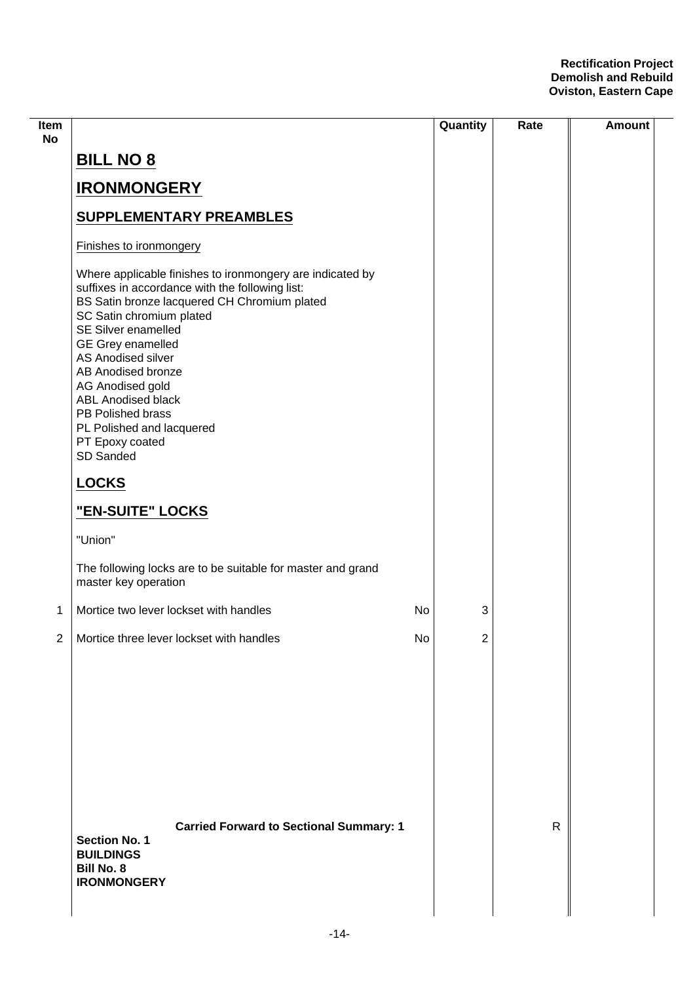| Item<br><b>No</b> |                                                                                                                                                                                                                                                                                                                                                                                                                                   | Quantity | Rate | <b>Amount</b> |
|-------------------|-----------------------------------------------------------------------------------------------------------------------------------------------------------------------------------------------------------------------------------------------------------------------------------------------------------------------------------------------------------------------------------------------------------------------------------|----------|------|---------------|
|                   | <b>BILL NO 8</b>                                                                                                                                                                                                                                                                                                                                                                                                                  |          |      |               |
|                   | <b>IRONMONGERY</b>                                                                                                                                                                                                                                                                                                                                                                                                                |          |      |               |
|                   | <b>SUPPLEMENTARY PREAMBLES</b>                                                                                                                                                                                                                                                                                                                                                                                                    |          |      |               |
|                   | Finishes to ironmongery                                                                                                                                                                                                                                                                                                                                                                                                           |          |      |               |
|                   | Where applicable finishes to ironmongery are indicated by<br>suffixes in accordance with the following list:<br>BS Satin bronze lacquered CH Chromium plated<br>SC Satin chromium plated<br>SE Silver enamelled<br><b>GE Grey enamelled</b><br>AS Anodised silver<br>AB Anodised bronze<br>AG Anodised gold<br><b>ABL Anodised black</b><br>PB Polished brass<br>PL Polished and lacquered<br>PT Epoxy coated<br><b>SD Sanded</b> |          |      |               |
|                   | <b>LOCKS</b>                                                                                                                                                                                                                                                                                                                                                                                                                      |          |      |               |
|                   | "EN-SUITE" LOCKS                                                                                                                                                                                                                                                                                                                                                                                                                  |          |      |               |
|                   | "Union"                                                                                                                                                                                                                                                                                                                                                                                                                           |          |      |               |
|                   | The following locks are to be suitable for master and grand<br>master key operation                                                                                                                                                                                                                                                                                                                                               |          |      |               |
| 1                 | Mortice two lever lockset with handles<br>No                                                                                                                                                                                                                                                                                                                                                                                      | 3        |      |               |
| $\mathbf{2}$      | No<br>Mortice three lever lockset with handles                                                                                                                                                                                                                                                                                                                                                                                    | 2        |      |               |
|                   | <b>Carried Forward to Sectional Summary: 1</b><br><b>Section No. 1</b><br><b>BUILDINGS</b><br><b>Bill No. 8</b><br><b>IRONMONGERY</b>                                                                                                                                                                                                                                                                                             |          | R    |               |
|                   |                                                                                                                                                                                                                                                                                                                                                                                                                                   |          |      |               |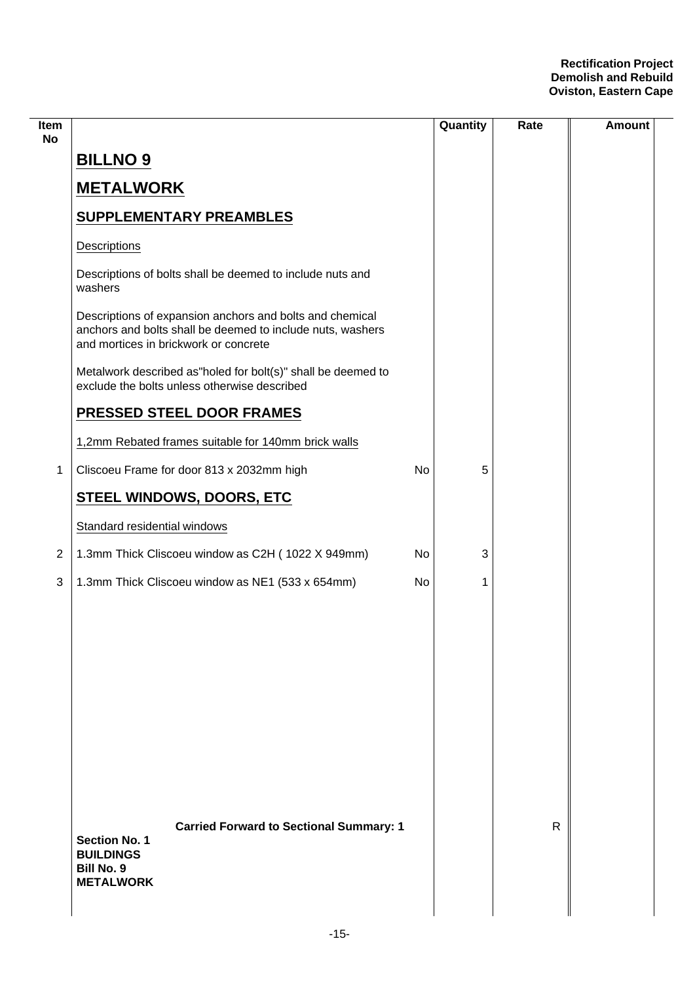| Item<br><b>No</b> |                                                                                                                                                                 |    | Quantity | Rate | <b>Amount</b> |
|-------------------|-----------------------------------------------------------------------------------------------------------------------------------------------------------------|----|----------|------|---------------|
|                   | <b>BILLNO 9</b>                                                                                                                                                 |    |          |      |               |
|                   | <b>METALWORK</b>                                                                                                                                                |    |          |      |               |
|                   | <b>SUPPLEMENTARY PREAMBLES</b>                                                                                                                                  |    |          |      |               |
|                   | Descriptions                                                                                                                                                    |    |          |      |               |
|                   | Descriptions of bolts shall be deemed to include nuts and<br>washers                                                                                            |    |          |      |               |
|                   | Descriptions of expansion anchors and bolts and chemical<br>anchors and bolts shall be deemed to include nuts, washers<br>and mortices in brickwork or concrete |    |          |      |               |
|                   | Metalwork described as"holed for bolt(s)" shall be deemed to<br>exclude the bolts unless otherwise described                                                    |    |          |      |               |
|                   | PRESSED STEEL DOOR FRAMES                                                                                                                                       |    |          |      |               |
|                   | 1,2mm Rebated frames suitable for 140mm brick walls                                                                                                             |    |          |      |               |
| 1                 | Cliscoeu Frame for door 813 x 2032mm high                                                                                                                       | No | 5        |      |               |
|                   | STEEL WINDOWS, DOORS, ETC                                                                                                                                       |    |          |      |               |
|                   | Standard residential windows                                                                                                                                    |    |          |      |               |
| $\overline{2}$    | 1.3mm Thick Cliscoeu window as C2H (1022 X 949mm)                                                                                                               | No | 3        |      |               |
| 3                 | 1.3mm Thick Cliscoeu window as NE1 (533 x 654mm)                                                                                                                | No | 1        |      |               |
|                   |                                                                                                                                                                 |    |          |      |               |
|                   |                                                                                                                                                                 |    |          |      |               |
|                   |                                                                                                                                                                 |    |          |      |               |
|                   |                                                                                                                                                                 |    |          |      |               |
|                   |                                                                                                                                                                 |    |          |      |               |
|                   |                                                                                                                                                                 |    |          |      |               |
|                   |                                                                                                                                                                 |    |          |      |               |
|                   |                                                                                                                                                                 |    |          |      |               |
|                   | <b>Carried Forward to Sectional Summary: 1</b><br><b>Section No. 1</b><br><b>BUILDINGS</b><br><b>Bill No. 9</b><br><b>METALWORK</b>                             |    |          | R    |               |
|                   |                                                                                                                                                                 |    |          |      |               |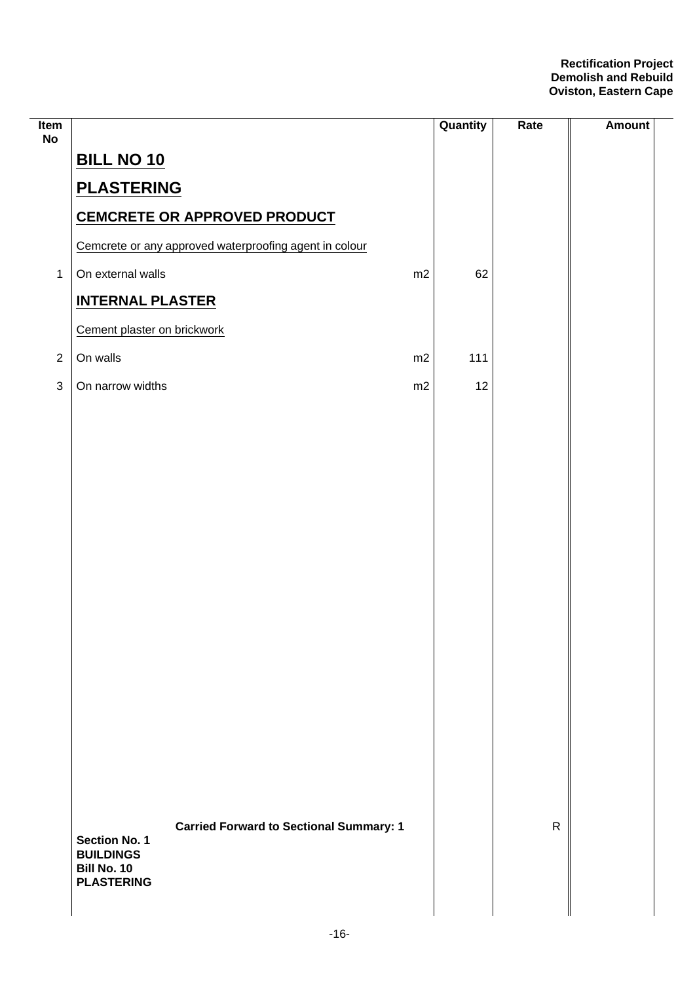| Item<br><b>No</b> |                                 |                                                        |    | Quantity | Rate         | <b>Amount</b> |
|-------------------|---------------------------------|--------------------------------------------------------|----|----------|--------------|---------------|
|                   | <b>BILL NO 10</b>               |                                                        |    |          |              |               |
|                   | <b>PLASTERING</b>               |                                                        |    |          |              |               |
|                   |                                 | <b>CEMCRETE OR APPROVED PRODUCT</b>                    |    |          |              |               |
|                   |                                 | Cemcrete or any approved waterproofing agent in colour |    |          |              |               |
| $\mathbf{1}$      | On external walls               |                                                        | m2 | 62       |              |               |
|                   | <b>INTERNAL PLASTER</b>         |                                                        |    |          |              |               |
|                   | Cement plaster on brickwork     |                                                        |    |          |              |               |
| $\sqrt{2}$        | On walls                        |                                                        | m2 | 111      |              |               |
| $\sqrt{3}$        | On narrow widths                |                                                        | m2 | 12       |              |               |
|                   |                                 |                                                        |    |          |              |               |
|                   |                                 |                                                        |    |          |              |               |
|                   |                                 |                                                        |    |          |              |               |
|                   |                                 |                                                        |    |          |              |               |
|                   |                                 |                                                        |    |          |              |               |
|                   |                                 |                                                        |    |          |              |               |
|                   |                                 |                                                        |    |          |              |               |
|                   |                                 |                                                        |    |          |              |               |
|                   |                                 |                                                        |    |          |              |               |
|                   |                                 |                                                        |    |          |              |               |
|                   |                                 |                                                        |    |          |              |               |
|                   |                                 |                                                        |    |          |              |               |
|                   |                                 |                                                        |    |          |              |               |
|                   |                                 |                                                        |    |          |              |               |
|                   |                                 |                                                        |    |          |              |               |
|                   | <b>Section No. 1</b>            | <b>Carried Forward to Sectional Summary: 1</b>         |    |          | $\mathsf{R}$ |               |
|                   | <b>BUILDINGS</b><br>Bill No. 10 |                                                        |    |          |              |               |
|                   | <b>PLASTERING</b>               |                                                        |    |          |              |               |
|                   |                                 |                                                        |    |          |              |               |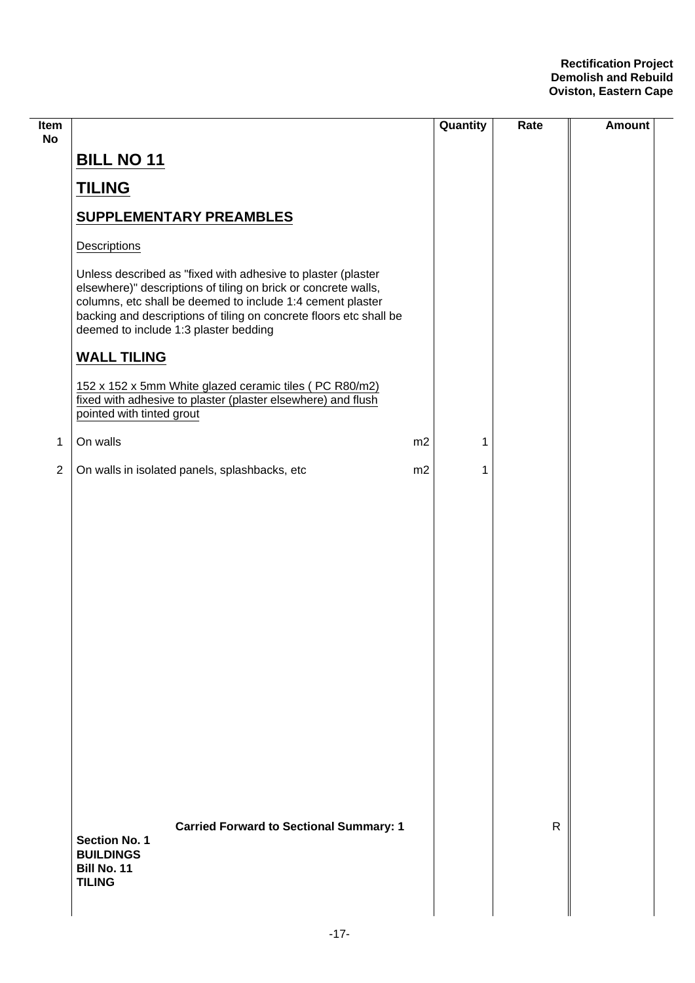| Item<br><b>No</b> |                                                                                                                                                                                                                                                                                                             |    | Quantity | Rate         | <b>Amount</b> |
|-------------------|-------------------------------------------------------------------------------------------------------------------------------------------------------------------------------------------------------------------------------------------------------------------------------------------------------------|----|----------|--------------|---------------|
|                   | <b>BILL NO 11</b>                                                                                                                                                                                                                                                                                           |    |          |              |               |
|                   | <b>TILING</b>                                                                                                                                                                                                                                                                                               |    |          |              |               |
|                   | <b>SUPPLEMENTARY PREAMBLES</b>                                                                                                                                                                                                                                                                              |    |          |              |               |
|                   | Descriptions                                                                                                                                                                                                                                                                                                |    |          |              |               |
|                   | Unless described as "fixed with adhesive to plaster (plaster<br>elsewhere)" descriptions of tiling on brick or concrete walls,<br>columns, etc shall be deemed to include 1:4 cement plaster<br>backing and descriptions of tiling on concrete floors etc shall be<br>deemed to include 1:3 plaster bedding |    |          |              |               |
|                   | <b>WALL TILING</b>                                                                                                                                                                                                                                                                                          |    |          |              |               |
|                   | 152 x 152 x 5mm White glazed ceramic tiles (PC R80/m2)<br>fixed with adhesive to plaster (plaster elsewhere) and flush<br>pointed with tinted grout                                                                                                                                                         |    |          |              |               |
| $\mathbf 1$       | On walls                                                                                                                                                                                                                                                                                                    | m2 | 1        |              |               |
| $\sqrt{2}$        | On walls in isolated panels, splashbacks, etc                                                                                                                                                                                                                                                               | m2 | 1        |              |               |
|                   |                                                                                                                                                                                                                                                                                                             |    |          |              |               |
|                   | <b>Carried Forward to Sectional Summary: 1</b><br><b>Section No. 1</b><br><b>BUILDINGS</b><br>Bill No. 11<br><b>TILING</b>                                                                                                                                                                                  |    |          | $\mathsf{R}$ |               |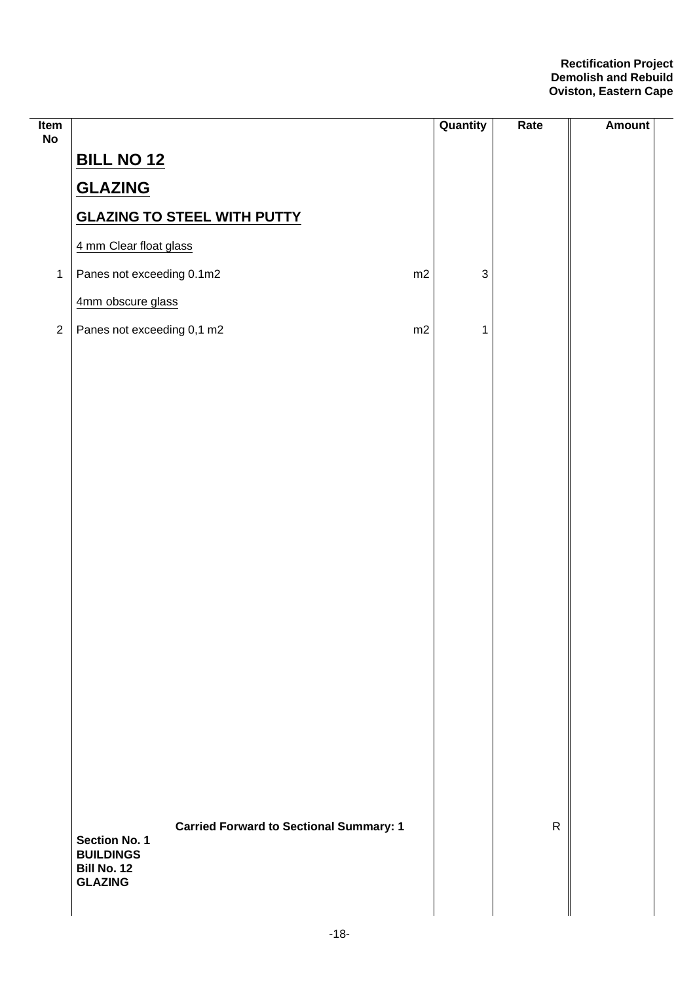| Item<br>No     |                                                                                     | Quantity     | Rate         | Amount |
|----------------|-------------------------------------------------------------------------------------|--------------|--------------|--------|
|                | <b>BILL NO 12</b>                                                                   |              |              |        |
|                | <b>GLAZING</b>                                                                      |              |              |        |
|                | <b>GLAZING TO STEEL WITH PUTTY</b>                                                  |              |              |        |
|                | 4 mm Clear float glass                                                              |              |              |        |
| $\mathbf{1}$   | Panes not exceeding 0.1m2<br>m2                                                     | $\mathbf{3}$ |              |        |
|                | 4mm obscure glass                                                                   |              |              |        |
| $\overline{2}$ | Panes not exceeding 0,1 m2<br>m2                                                    | 1            |              |        |
|                |                                                                                     |              |              |        |
|                |                                                                                     |              |              |        |
|                |                                                                                     |              |              |        |
|                |                                                                                     |              |              |        |
|                |                                                                                     |              |              |        |
|                |                                                                                     |              |              |        |
|                |                                                                                     |              |              |        |
|                |                                                                                     |              |              |        |
|                |                                                                                     |              |              |        |
|                |                                                                                     |              |              |        |
|                |                                                                                     |              |              |        |
|                |                                                                                     |              |              |        |
|                |                                                                                     |              |              |        |
|                |                                                                                     |              |              |        |
|                |                                                                                     |              |              |        |
|                |                                                                                     |              |              |        |
|                |                                                                                     |              | $\mathsf{R}$ |        |
|                | <b>Carried Forward to Sectional Summary: 1</b><br>Section No. 1<br><b>BUILDINGS</b> |              |              |        |
|                | <b>Bill No. 12</b><br><b>GLAZING</b>                                                |              |              |        |
|                |                                                                                     |              |              |        |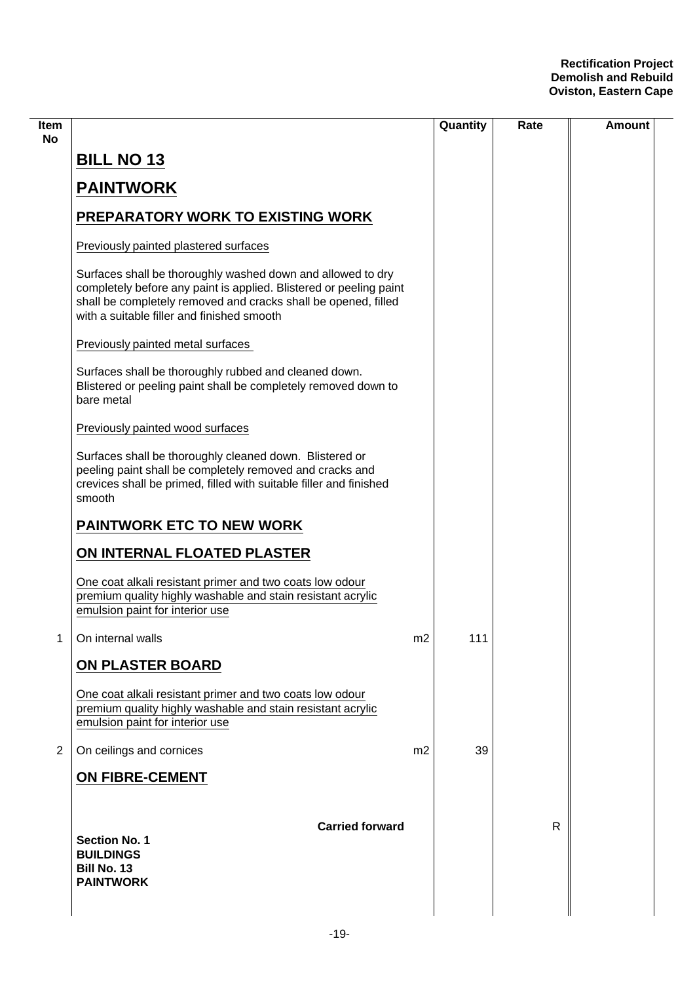| ltem<br>No     |                                                                                                                                                                                                                                                   |                | Quantity | Rate         | Amount |
|----------------|---------------------------------------------------------------------------------------------------------------------------------------------------------------------------------------------------------------------------------------------------|----------------|----------|--------------|--------|
|                | <b>BILL NO 13</b>                                                                                                                                                                                                                                 |                |          |              |        |
|                | <b>PAINTWORK</b>                                                                                                                                                                                                                                  |                |          |              |        |
|                | <b>PREPARATORY WORK TO EXISTING WORK</b>                                                                                                                                                                                                          |                |          |              |        |
|                | Previously painted plastered surfaces                                                                                                                                                                                                             |                |          |              |        |
|                | Surfaces shall be thoroughly washed down and allowed to dry<br>completely before any paint is applied. Blistered or peeling paint<br>shall be completely removed and cracks shall be opened, filled<br>with a suitable filler and finished smooth |                |          |              |        |
|                | Previously painted metal surfaces                                                                                                                                                                                                                 |                |          |              |        |
|                | Surfaces shall be thoroughly rubbed and cleaned down.<br>Blistered or peeling paint shall be completely removed down to<br>bare metal                                                                                                             |                |          |              |        |
|                | Previously painted wood surfaces                                                                                                                                                                                                                  |                |          |              |        |
|                | Surfaces shall be thoroughly cleaned down. Blistered or<br>peeling paint shall be completely removed and cracks and<br>crevices shall be primed, filled with suitable filler and finished<br>smooth                                               |                |          |              |        |
|                | <b>PAINTWORK ETC TO NEW WORK</b>                                                                                                                                                                                                                  |                |          |              |        |
|                | ON INTERNAL FLOATED PLASTER                                                                                                                                                                                                                       |                |          |              |        |
|                | One coat alkali resistant primer and two coats low odour<br>premium quality highly washable and stain resistant acrylic<br>emulsion paint for interior use                                                                                        |                |          |              |        |
| 1              | On internal walls                                                                                                                                                                                                                                 | m2             | 111      |              |        |
|                | ON PLASTER BOARD                                                                                                                                                                                                                                  |                |          |              |        |
|                | One coat alkali resistant primer and two coats low odour<br>premium quality highly washable and stain resistant acrylic<br>emulsion paint for interior use                                                                                        |                |          |              |        |
| $\overline{2}$ | On ceilings and cornices                                                                                                                                                                                                                          | m <sub>2</sub> | 39       |              |        |
|                | <b>ON FIBRE-CEMENT</b>                                                                                                                                                                                                                            |                |          |              |        |
|                | <b>Carried forward</b><br><b>Section No. 1</b><br><b>BUILDINGS</b><br><b>Bill No. 13</b><br><b>PAINTWORK</b>                                                                                                                                      |                |          | $\mathsf{R}$ |        |
|                |                                                                                                                                                                                                                                                   |                |          |              |        |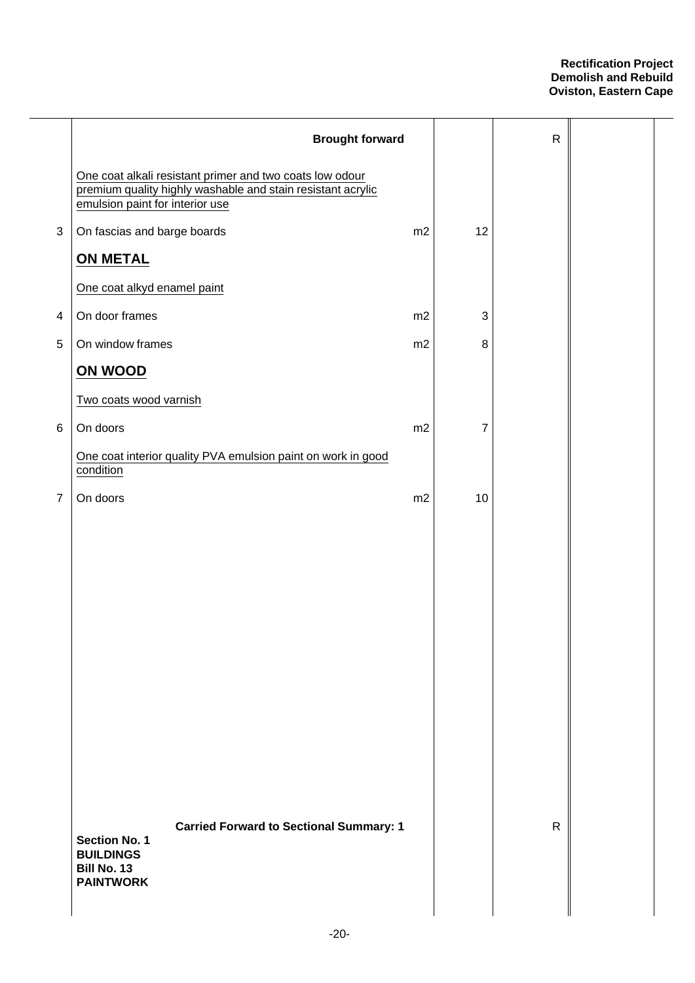|                | <b>Brought forward</b>                                                                                                                                     |    |                           | $\mathsf R$  |  |
|----------------|------------------------------------------------------------------------------------------------------------------------------------------------------------|----|---------------------------|--------------|--|
|                | One coat alkali resistant primer and two coats low odour<br>premium quality highly washable and stain resistant acrylic<br>emulsion paint for interior use |    |                           |              |  |
| $\mathfrak{S}$ | On fascias and barge boards                                                                                                                                | m2 | 12                        |              |  |
|                | <b>ON METAL</b>                                                                                                                                            |    |                           |              |  |
|                | One coat alkyd enamel paint                                                                                                                                |    |                           |              |  |
| 4              | On door frames                                                                                                                                             | m2 | $\ensuremath{\mathsf{3}}$ |              |  |
| 5              | On window frames                                                                                                                                           | m2 | 8                         |              |  |
|                | ON WOOD                                                                                                                                                    |    |                           |              |  |
|                | Two coats wood varnish                                                                                                                                     |    |                           |              |  |
| 6              | On doors                                                                                                                                                   | m2 | 7                         |              |  |
|                | One coat interior quality PVA emulsion paint on work in good<br>condition                                                                                  |    |                           |              |  |
| $\overline{7}$ | On doors                                                                                                                                                   | m2 | 10                        |              |  |
|                |                                                                                                                                                            |    |                           |              |  |
|                | <b>Carried Forward to Sectional Summary: 1</b><br><b>Section No. 1</b><br><b>BUILDINGS</b><br><b>Bill No. 13</b><br><b>PAINTWORK</b>                       |    |                           | $\mathsf{R}$ |  |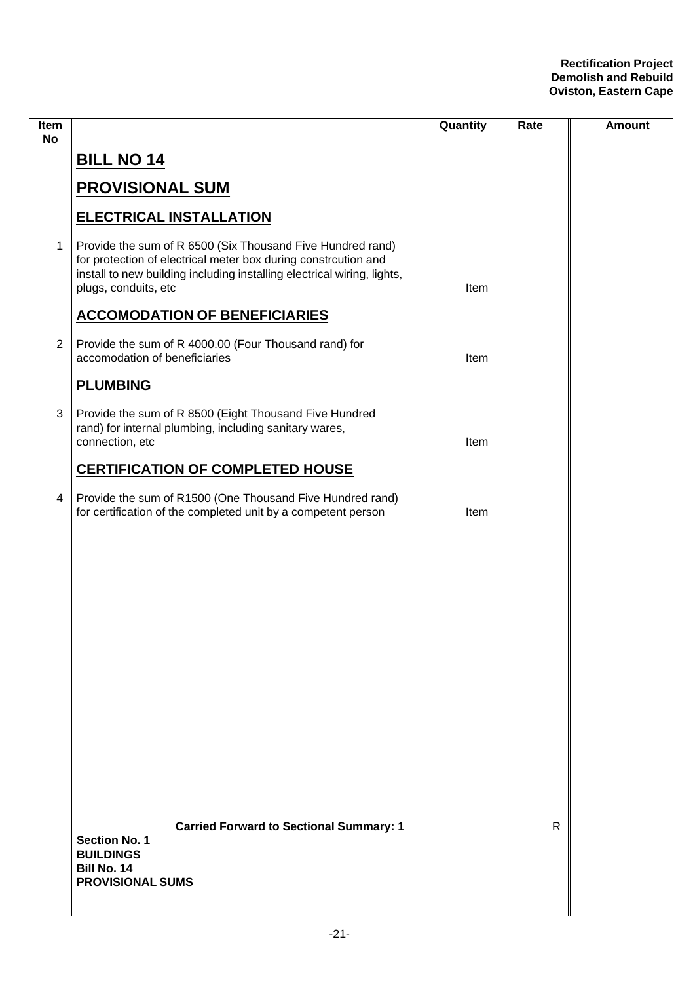| Item<br><b>No</b> |                                                                                                                                                                                                                                 | Quantity | Rate         | <b>Amount</b> |
|-------------------|---------------------------------------------------------------------------------------------------------------------------------------------------------------------------------------------------------------------------------|----------|--------------|---------------|
|                   | <b>BILL NO 14</b>                                                                                                                                                                                                               |          |              |               |
|                   | <b>PROVISIONAL SUM</b>                                                                                                                                                                                                          |          |              |               |
|                   | <b>ELECTRICAL INSTALLATION</b>                                                                                                                                                                                                  |          |              |               |
| $\mathbf 1$       | Provide the sum of R 6500 (Six Thousand Five Hundred rand)<br>for protection of electrical meter box during constrcution and<br>install to new building including installing electrical wiring, lights,<br>plugs, conduits, etc | Item     |              |               |
|                   | <b>ACCOMODATION OF BENEFICIARIES</b>                                                                                                                                                                                            |          |              |               |
| $\overline{2}$    | Provide the sum of R 4000.00 (Four Thousand rand) for<br>accomodation of beneficiaries                                                                                                                                          | Item     |              |               |
|                   | <b>PLUMBING</b>                                                                                                                                                                                                                 |          |              |               |
| 3                 | Provide the sum of R 8500 (Eight Thousand Five Hundred<br>rand) for internal plumbing, including sanitary wares,<br>connection, etc                                                                                             | Item     |              |               |
|                   | <b>CERTIFICATION OF COMPLETED HOUSE</b>                                                                                                                                                                                         |          |              |               |
| $\overline{4}$    | Provide the sum of R1500 (One Thousand Five Hundred rand)<br>for certification of the completed unit by a competent person                                                                                                      | Item     |              |               |
|                   |                                                                                                                                                                                                                                 |          |              |               |
|                   |                                                                                                                                                                                                                                 |          |              |               |
|                   |                                                                                                                                                                                                                                 |          |              |               |
|                   |                                                                                                                                                                                                                                 |          |              |               |
|                   |                                                                                                                                                                                                                                 |          |              |               |
|                   |                                                                                                                                                                                                                                 |          |              |               |
|                   |                                                                                                                                                                                                                                 |          |              |               |
|                   |                                                                                                                                                                                                                                 |          |              |               |
|                   |                                                                                                                                                                                                                                 |          |              |               |
|                   | <b>Carried Forward to Sectional Summary: 1</b><br><b>Section No. 1</b><br><b>BUILDINGS</b><br>Bill No. 14<br><b>PROVISIONAL SUMS</b>                                                                                            |          | $\mathsf{R}$ |               |
|                   |                                                                                                                                                                                                                                 |          |              |               |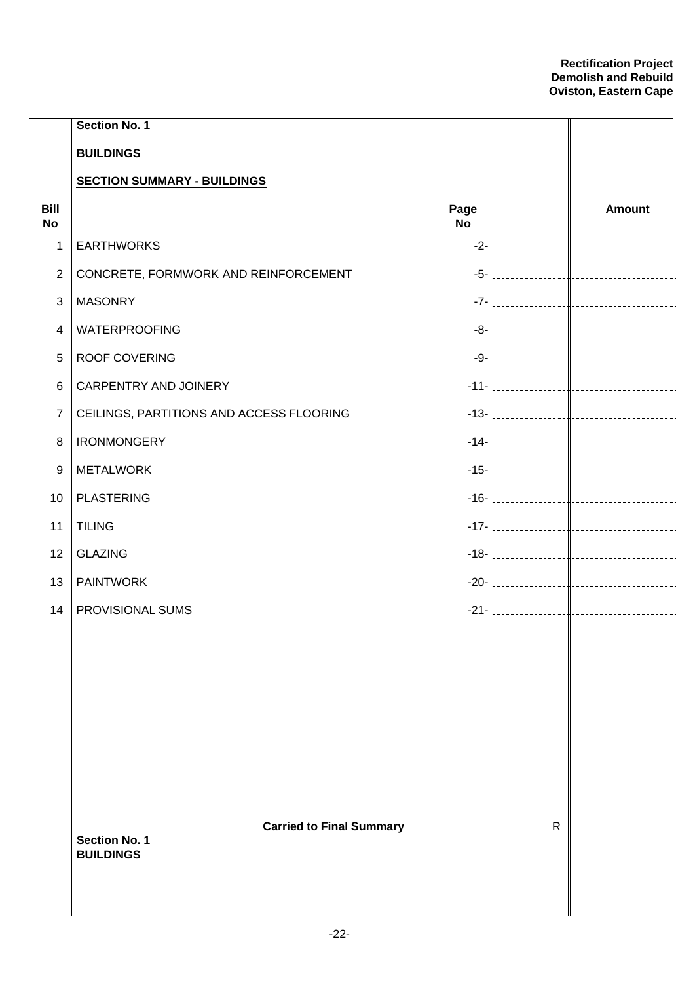|                   | <b>Section No. 1</b>                                    |                   |              |                                                                                                                 |           |
|-------------------|---------------------------------------------------------|-------------------|--------------|-----------------------------------------------------------------------------------------------------------------|-----------|
|                   | <b>BUILDINGS</b>                                        |                   |              |                                                                                                                 |           |
|                   | <b>SECTION SUMMARY - BUILDINGS</b>                      |                   |              |                                                                                                                 |           |
| Bill<br><b>No</b> |                                                         | Page<br><b>No</b> |              | <b>Amount</b>                                                                                                   |           |
| 1                 | <b>EARTHWORKS</b>                                       | $-2-$             |              |                                                                                                                 |           |
| $\overline{2}$    | CONCRETE, FORMWORK AND REINFORCEMENT                    | $-5-$             |              |                                                                                                                 |           |
| $\mathbf{3}$      | <b>MASONRY</b>                                          | $-7-$             |              |                                                                                                                 |           |
| $\overline{4}$    | <b>WATERPROOFING</b>                                    | $-8-$             |              |                                                                                                                 |           |
| $\overline{5}$    | ROOF COVERING                                           | $-9-$             |              |                                                                                                                 |           |
| $\,6$             | CARPENTRY AND JOINERY                                   | $-11-$            |              |                                                                                                                 |           |
| $\overline{7}$    | CEILINGS, PARTITIONS AND ACCESS FLOORING                | $-13-$            |              |                                                                                                                 |           |
| $\, 8$            | <b>IRONMONGERY</b>                                      | $-14-$            |              |                                                                                                                 |           |
| 9                 | <b>METALWORK</b>                                        | $-15-$            |              |                                                                                                                 |           |
| 10                | <b>PLASTERING</b>                                       | $-16-$            |              |                                                                                                                 |           |
| 11                | <b>TILING</b>                                           | $-17-$            |              |                                                                                                                 |           |
| 12                | <b>GLAZING</b>                                          | $-18-$            |              |                                                                                                                 |           |
| 13                | <b>PAINTWORK</b>                                        | $-20-$            |              |                                                                                                                 |           |
| 14                | PROVISIONAL SUMS                                        | $-21-$            |              | the contract of the contract of the contract of the contract of the contract of the contract of the contract of | $- - - -$ |
|                   |                                                         |                   |              |                                                                                                                 |           |
|                   |                                                         |                   |              |                                                                                                                 |           |
|                   |                                                         |                   |              |                                                                                                                 |           |
|                   |                                                         |                   |              |                                                                                                                 |           |
|                   |                                                         |                   |              |                                                                                                                 |           |
|                   |                                                         |                   |              |                                                                                                                 |           |
|                   |                                                         |                   |              |                                                                                                                 |           |
|                   | <b>Carried to Final Summary</b><br><b>Section No. 1</b> |                   | $\mathsf{R}$ |                                                                                                                 |           |
|                   | <b>BUILDINGS</b>                                        |                   |              |                                                                                                                 |           |
|                   |                                                         |                   |              |                                                                                                                 |           |
|                   |                                                         |                   |              |                                                                                                                 |           |